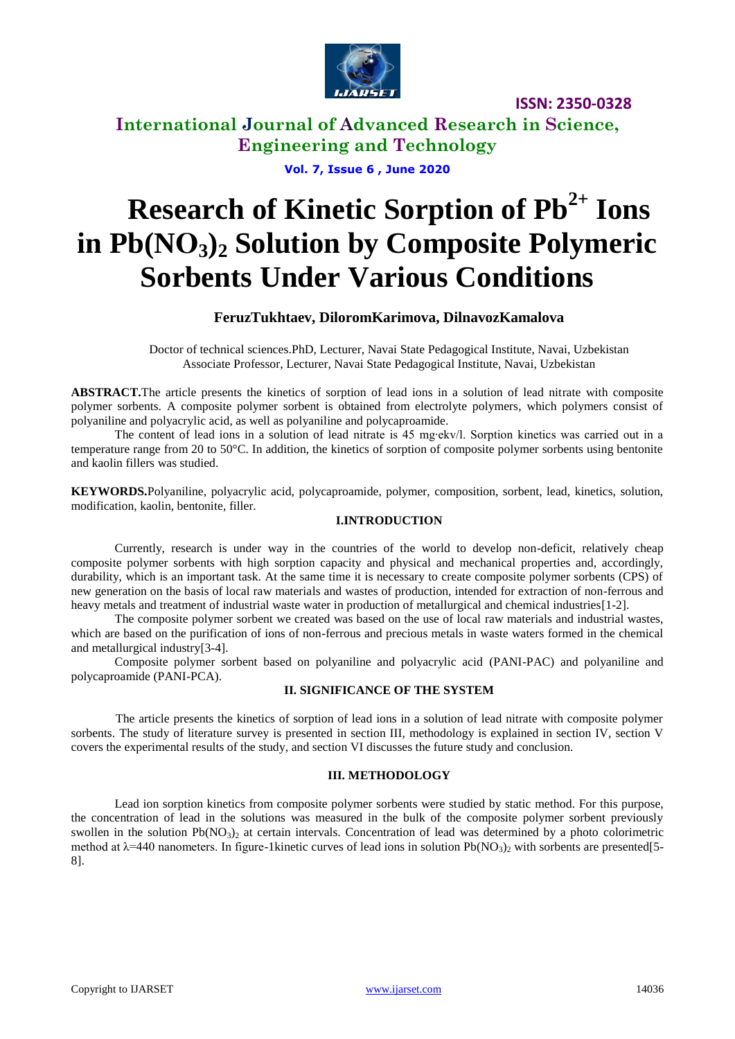

### **International Journal of Advanced Research in Science, Engineering and Technology**

**Vol. 7, Issue 6 , June 2020**

# **Research of Kinetic Sorption of Pb2+ Ions in Pb(NО3)<sup>2</sup> Solution by Composite Polymeric Sorbents Under Various Conditions**

### **FeruzTukhtaev, DiloromKarimova, DilnavozKamalova**

Doctor of technical sciences.PhD, Lecturer, Navai State Pedagogical Institute, Navai, Uzbekistan Associate Professor, Lecturer, Navai State Pedagogical Institute, Navai, Uzbekistan

**ABSTRACT.**The article presents the kinetics of sorption of lead ions in a solution of lead nitrate with composite polymer sorbents. A composite polymer sorbent is obtained from electrolyte polymers, which polymers consist of polyaniline and polyacrylic acid, as well as polyaniline and polycaproamide.

The content of lead ions in a solution of lead nitrate is 45 mg∙ekv/l. Sorption kinetics was carried out in a temperature range from 20 to 50°C. In addition, the kinetics of sorption of composite polymer sorbents using bentonite and kaolin fillers was studied.

**KEYWORDS.**Polyaniline, polyacrylic acid, polycaproamide, polymer, composition, sorbent, lead, kinetics, solution, modification, kaolin, bentonite, filler.

### **I.INTRODUCTION**

Currently, research is under way in the countries of the world to develop non-deficit, relatively cheap composite polymer sorbents with high sorption capacity and physical and mechanical properties and, accordingly, durability, which is an important task. At the same time it is necessary to create composite polymer sorbents (CPS) of new generation on the basis of local raw materials and wastes of production, intended for extraction of non-ferrous and heavy metals and treatment of industrial waste water in production of metallurgical and chemical industries[1-2].

The composite polymer sorbent we created was based on the use of local raw materials and industrial wastes, which are based on the purification of ions of non-ferrous and precious metals in waste waters formed in the chemical and metallurgical industry[3-4].

Composite polymer sorbent based on polyaniline and polyacrylic acid (PANI-PAC) and polyaniline and polycaproamide (PANI-PCA).

### **II. SIGNIFICANCE OF THE SYSTEM**

The article presents the kinetics of sorption of lead ions in a solution of lead nitrate with composite polymer sorbents. The study of literature survey is presented in section III, methodology is explained in section IV, section V covers the experimental results of the study, and section VI discusses the future study and conclusion.

#### **III. METHODOLOGY**

Lead ion sorption kinetics from composite polymer sorbents were studied by static method. For this purpose, the concentration of lead in the solutions was measured in the bulk of the composite polymer sorbent previously swollen in the solution  $Pb(NO_3)$ <sub>2</sub> at certain intervals. Concentration of lead was determined by a photo colorimetric method at  $\lambda$ =440 nanometers. In figure-1kinetic curves of lead ions in solution Pb(NO<sub>3</sub>), with sorbents are presented[5-8].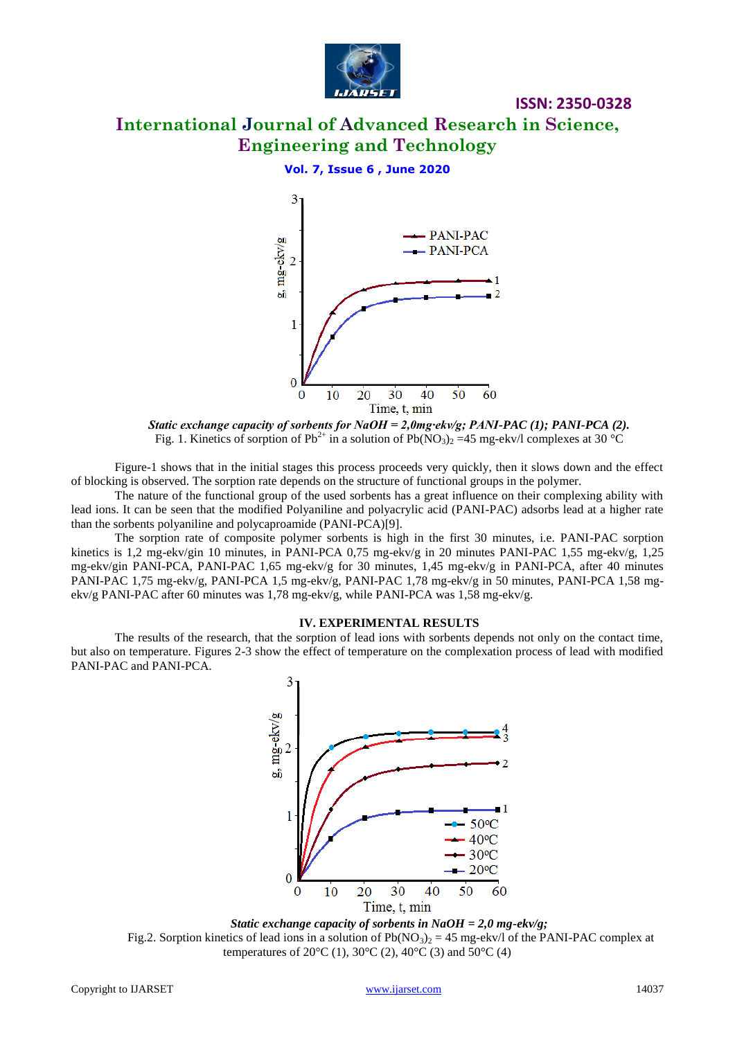

### **ISSN: 2350-0328 International Journal of Advanced Research in Science, Engineering and Technology**

### **Vol. 7, Issue 6 , June 2020**





Figure-1 shows that in the initial stages this process proceeds very quickly, then it slows down and the effect of blocking is observed. The sorption rate depends on the structure of functional groups in the polymer.

The nature of the functional group of the used sorbents has a great influence on their complexing ability with lead ions. It can be seen that the modified Polyaniline and polyacrylic acid (PANI-PAC) adsorbs lead at a higher rate than the sorbents polyaniline and polycaproamide (PANI-PCA)[9].

The sorption rate of composite polymer sorbents is high in the first 30 minutes, i.e. PANI-PAC sorption kinetics is 1,2 mg-ekv/gin 10 minutes, in PANI-PCA 0,75 mg-ekv/g in 20 minutes PANI-PAC 1,55 mg-ekv/g, 1,25 mg-ekv/gin PANI-PCA, PANI-PAC 1,65 mg-ekv/g for 30 minutes, 1,45 mg-ekv/g in PANI-PCA, after 40 minutes PANI-PAC 1,75 mg-ekv/g, PANI-PCA 1,5 mg-ekv/g, PANI-PAC 1,78 mg-ekv/g in 50 minutes, PANI-PCA 1,58 mgekv/g PANI-PAC after 60 minutes was 1,78 mg-ekv/g, while PANI-PCA was 1,58 mg-ekv/g.

#### **IV. EXPERIMENTAL RESULTS**

The results of the research, that the sorption of lead ions with sorbents depends not only on the contact time, but also on temperature. Figures 2-3 show the effect of temperature on the complexation process of lead with modified PANI-PAC and PANI-PCA.

3 mg-ekv/g  $\overline{2}$  $\overline{\mathcal{L}}$ ъĥ - 1 1  $-50^{\circ}$ C  $40^{\circ}$ C  $30^{\circ}$ C  $20^{\circ}C$ 0 20 30 40 50  $\overline{0}$ 10 60 Time, t, min

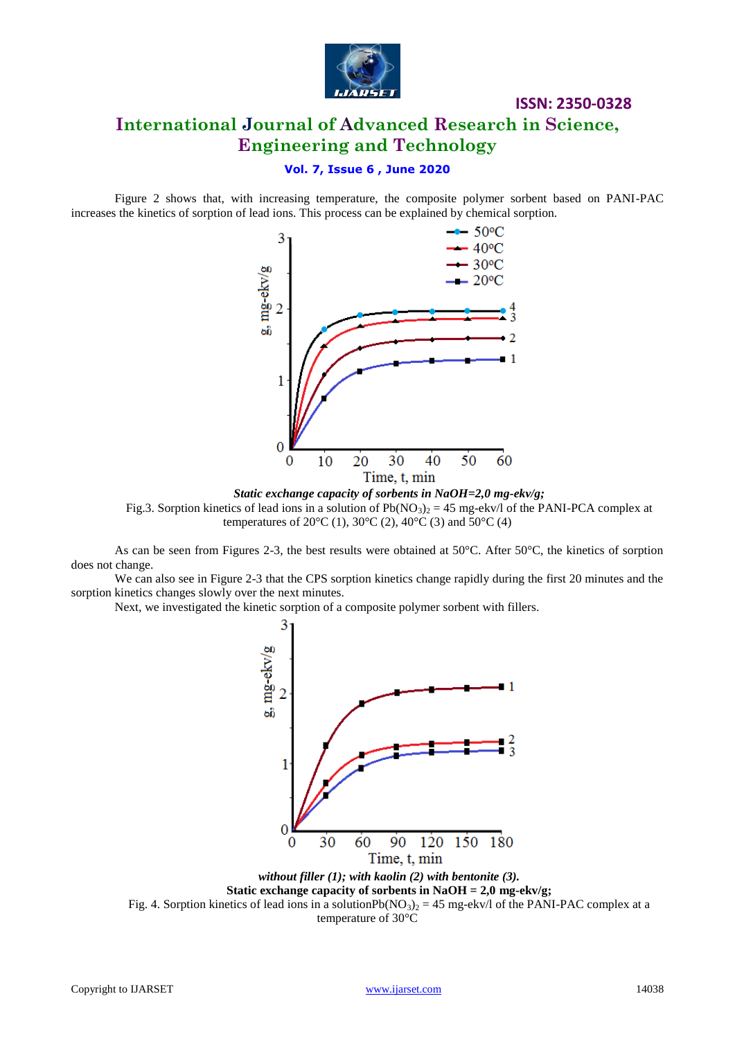

### **International Journal of Advanced Research in Science, Engineering and Technology**

### **Vol. 7, Issue 6 , June 2020**

Figure 2 shows that, with increasing temperature, the composite polymer sorbent based on PANI-PAC increases the kinetics of sorption of lead ions. This process can be explained by chemical sorption.



*Static exchange capacity of sorbents in NaOH=2,0 mg-ekv/g;* Fig.3. Sorption kinetics of lead ions in a solution of  $Pb(NO_3)_2 = 45$  mg-ekv/l of the PANI-PCA complex at temperatures of  $20^{\circ}C(1)$ ,  $30^{\circ}C(2)$ ,  $40^{\circ}C(3)$  and  $50^{\circ}C(4)$ 

As can be seen from Figures 2-3, the best results were obtained at 50°C. After 50°C, the kinetics of sorption does not change.

We can also see in Figure 2-3 that the CPS sorption kinetics change rapidly during the first 20 minutes and the sorption kinetics changes slowly over the next minutes.

Next, we investigated the kinetic sorption of a composite polymer sorbent with fillers.



Fig. 4. Sorption kinetics of lead ions in a solution $Pb(NO_3)_2 = 45$  mg-ekv/l of the PANI-PAC complex at a temperature of 30°C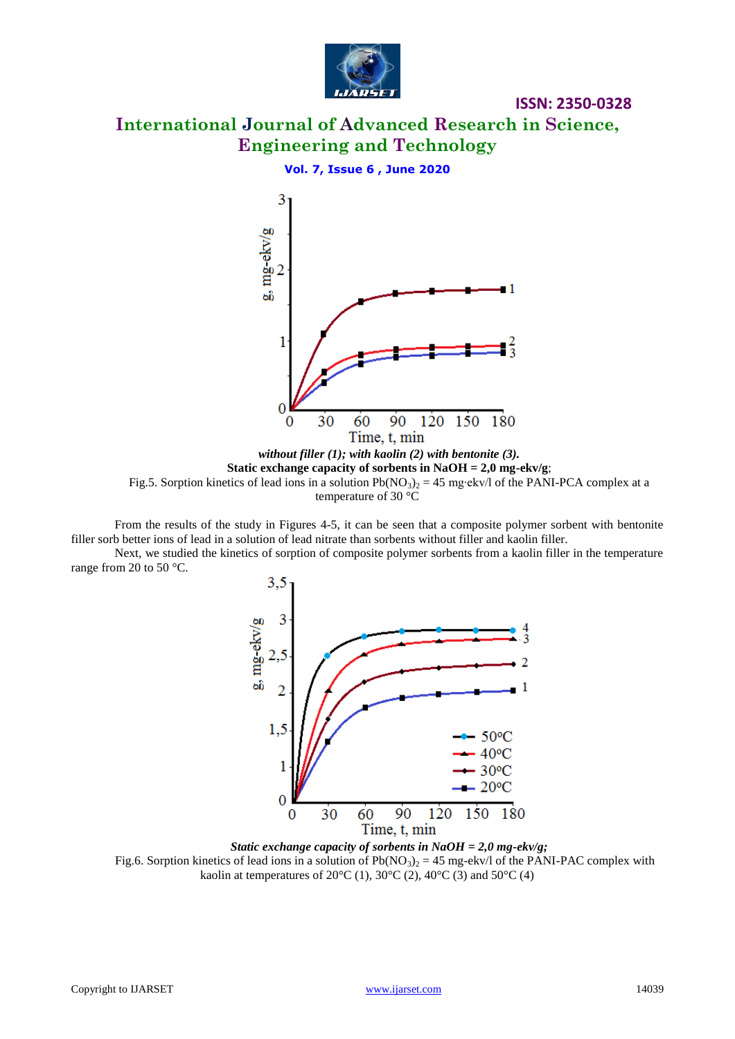

**International Journal of Advanced Research in Science, Engineering and Technology**

### **Vol. 7, Issue 6 , June 2020**



From the results of the study in Figures 4-5, it can be seen that a composite polymer sorbent with bentonite filler sorb better ions of lead in a solution of lead nitrate than sorbents without filler and kaolin filler.

Next, we studied the kinetics of sorption of composite polymer sorbents from a kaolin filler in the temperature range from 20 to 50 °C.



*Static exchange capacity of sorbents in NaOH = 2,0 mg-ekv/g;* Fig.6. Sorption kinetics of lead ions in a solution of  $Pb(NO_3)_2 = 45$  mg-ekv/l of the PANI-PAC complex with kaolin at temperatures of  $20^{\circ}C(1)$ ,  $30^{\circ}C(2)$ ,  $40^{\circ}C(3)$  and  $50^{\circ}C(4)$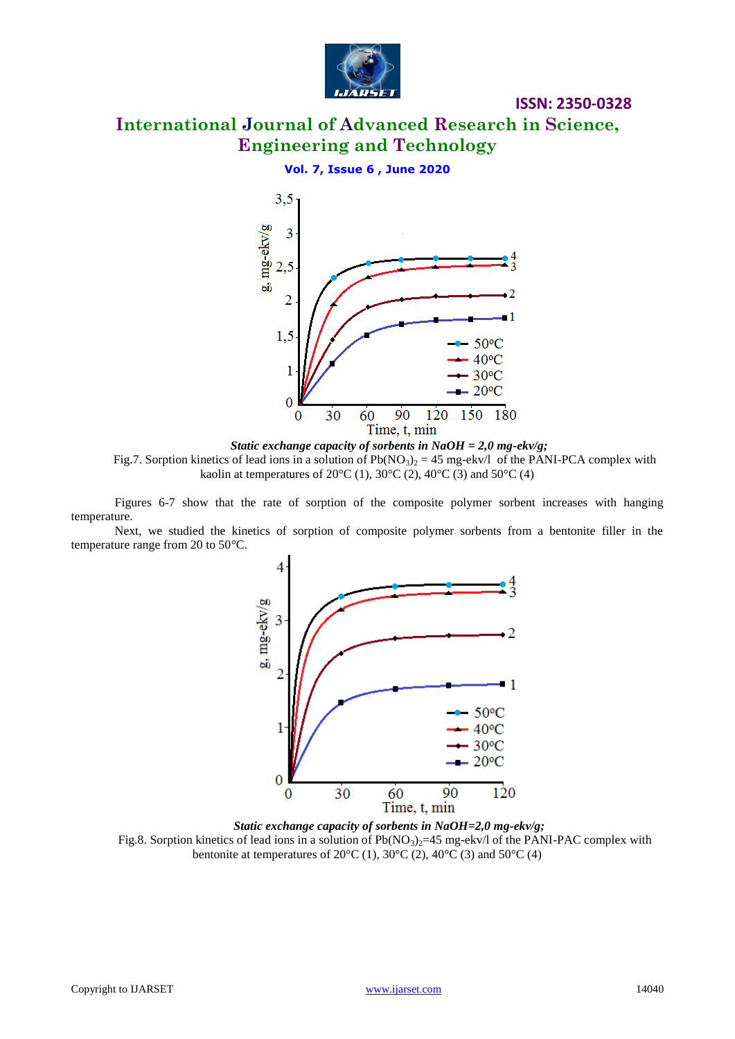

# **International Journal of Advanced Research in Science, Engineering and Technology**

### **Vol. 7, Issue 6 , June 2020**



*Static exchange capacity of sorbents in NaOH = 2,0 mg-ekv/g;* Fig.7. Sorption kinetics of lead ions in a solution of  $Pb(NO<sub>3</sub>)<sub>2</sub> = 45$  mg-ekv/l of the PANI-PCA complex with kaolin at temperatures of 20°C (1), 30°C (2), 40°C (3) and 50°C (4)

Figures 6-7 show that the rate of sorption of the composite polymer sorbent increases with hanging temperature.

Next, we studied the kinetics of sorption of composite polymer sorbents from a bentonite filler in the temperature range from 20 to 50°C.



*Static exchange capacity of sorbents in NaOH=2,0 mg-ekv/g;* Fig.8. Sorption kinetics of lead ions in a solution of  $Pb(NO<sub>3</sub>)<sub>2</sub>=45$  mg-ekv/l of the PANI-PAC complex with bentonite at temperatures of  $20^{\circ}C(1)$ ,  $30^{\circ}C(2)$ ,  $40^{\circ}C(3)$  and  $50^{\circ}C(4)$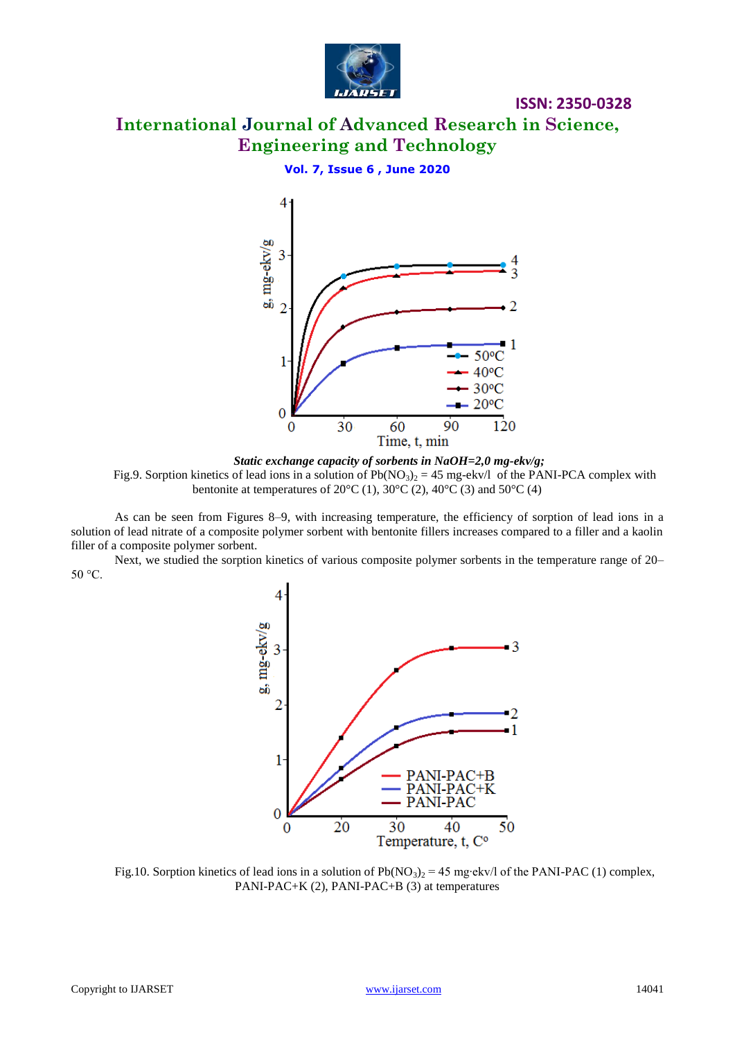

# **International Journal of Advanced Research in Science, Engineering and Technology**

### **Vol. 7, Issue 6 , June 2020**



*Static exchange capacity of sorbents in NaOH=2,0 mg-ekv/g;* Fig.9. Sorption kinetics of lead ions in a solution of  $Pb(NO<sub>3</sub>)<sub>2</sub> = 45$  mg-ekv/l of the PANI-PCA complex with bentonite at temperatures of  $20^{\circ}$ C (1),  $30^{\circ}$ C (2),  $40^{\circ}$ C (3) and  $50^{\circ}$ C (4)

As can be seen from Figures 8–9, with increasing temperature, the efficiency of sorption of lead ions in a solution of lead nitrate of a composite polymer sorbent with bentonite fillers increases compared to a filler and a kaolin filler of a composite polymer sorbent.

Next, we studied the sorption kinetics of various composite polymer sorbents in the temperature range of 20– 50 °С.



Fig.10. Sorption kinetics of lead ions in a solution of Pb(NO<sub>3</sub>) = 45 mg⋅ekv/l of the PANI-PAC (1) complex, PANI-PAC+K (2), PANI-PAC+B (3) at temperatures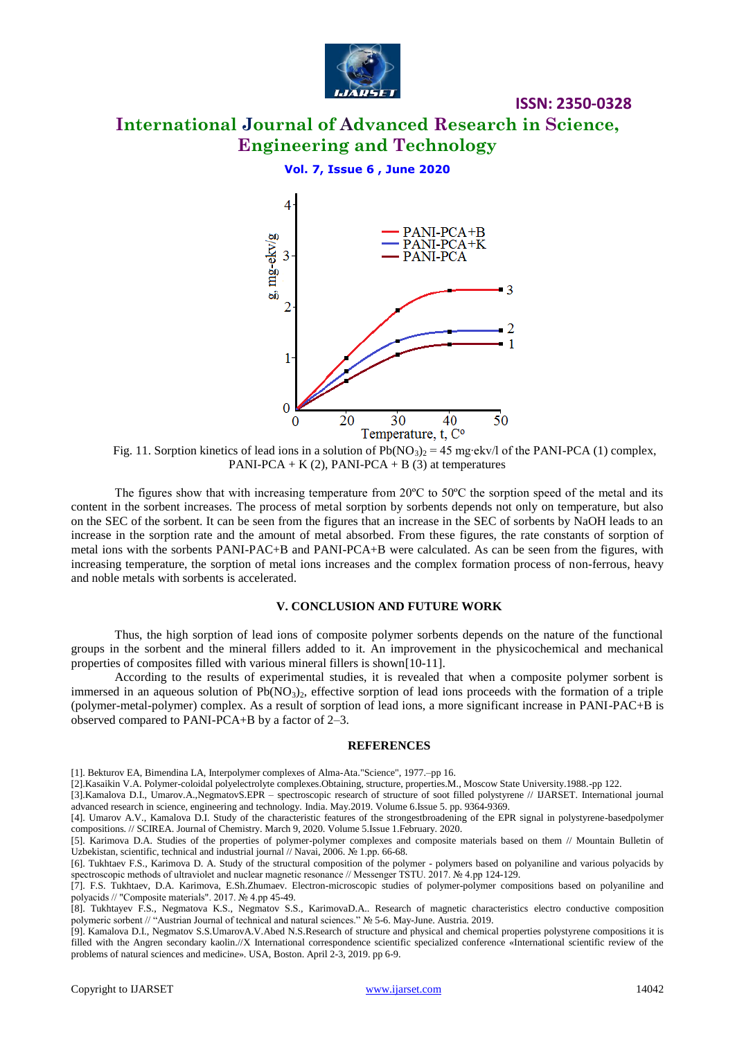

# **International Journal of Advanced Research in Science, Engineering and Technology**

**ISSN: 2350-0328**

### **Vol. 7, Issue 6 , June 2020**



Fig. 11. Sorption kinetics of lead ions in a solution of Pb(NO<sub>3</sub>)<sub>2</sub> = 45 mg⋅ekv/l of the PANI-PCA (1) complex, PANI-PCA + K  $(2)$ , PANI-PCA + B  $(3)$  at temperatures

The figures show that with increasing temperature from 20°C to 50°C the sorption speed of the metal and its content in the sorbent increases. The process of metal sorption by sorbents depends not only on temperature, but also on the SEC of the sorbent. It can be seen from the figures that an increase in the SEC of sorbents by NaOH leads to an increase in the sorption rate and the amount of metal absorbed. From these figures, the rate constants of sorption of metal ions with the sorbents PANI-PAC+B and PANI-PCA+B were calculated. As can be seen from the figures, with increasing temperature, the sorption of metal ions increases and the complex formation process of non-ferrous, heavy and noble metals with sorbents is accelerated.

#### **V. CONCLUSION AND FUTURE WORK**

Thus, the high sorption of lead ions of composite polymer sorbents depends on the nature of the functional groups in the sorbent and the mineral fillers added to it. An improvement in the physicochemical and mechanical properties of composites filled with various mineral fillers is shown[10-11].

According to the results of experimental studies, it is revealed that when a composite polymer sorbent is immersed in an aqueous solution of  $Pb(NO_3)$ , effective sorption of lead ions proceeds with the formation of a triple (polymer-metal-polymer) complex. As a result of sorption of lead ions, a more significant increase in PANI-PAC+B is observed compared to PANI-PCA+B by a factor of 2–3.

#### **REFERENCES**

[2].Kasaikin V.A. Polymer-coloidal polyelectrolyte complexes.Obtaining, structure, properties.M., Moscow State University.1988.-pp 122.

[3].Kamalova D.I., Umarov.A.,NegmatovS.EPR – spectroscopic research of structure of soot filled polystyrene // IJARSET. International journal advanced research in science, engineering and technology. India. May.2019. Volume 6.Issue 5. pp. 9364-9369.

[4]. Umarov A.V., Kamalova D.I. Study of the characteristic features of the strongestbroadening of the EPR signal in polystyrene-basedpolymer compositions. // SCIREA. Journal of Chemistry. March 9, 2020. Volume 5.Issue 1.February. 2020.

[5]. Karimova D.A. Studies of the properties of polymer-polymer complexes and composite materials based on them // Mountain Bulletin of Uzbekistan, scientific, technical and industrial journal // Navai, 2006. № 1.рр. 66-68.

[8]. Tukhtayev F.S., Negmatova K.S., Negmatov S.S., KarimovaD.A.. Research of magnetic characteristics electro conductive composition polymeric sorbent // "Austrian Journal of technical and natural sciences." № 5-6. May-June. Austria. 2019.

[9]. Kamalova D.I., Negmatov S.S.UmarovA.V.Abed N.S.Research of structure and physical and chemical properties polystyrene compositions it is filled with the Angren secondary kaolin.//X International correspondence scientific specialized conference «International scientific review of the problems of natural sciences and medicine». USA, Boston. April 2-3, 2019. pp 6-9.

<sup>[1].</sup> Bekturov EA, Bimendina LA, Interpolymer complexes of Alma-Ata."Science", 1977.–pp 16.

<sup>[6].</sup> Tukhtaev F.S., Karimova D. A. Study of the structural composition of the polymer - polymers based on polyaniline and various polyacids by spectroscopic methods of ultraviolet and nuclear magnetic resonance // Messenger TSTU. 2017. № 4.рр 124-129.

<sup>[7].</sup> F.S. Tukhtaev, D.A. Karimova, E.Sh.Zhumaev. Electron-microscopic studies of polymer-polymer compositions based on polyaniline and polyacids // "Composite materials". 2017. № 4.рр 45-49.